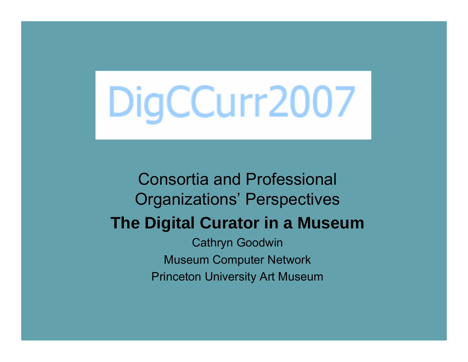# DigCCurr2007

## Consortia and Professional Organizations' Perspectives **The Digital Curator in a Museum** Cathryn Goodwin Museum Computer Network Princeton University Art Museum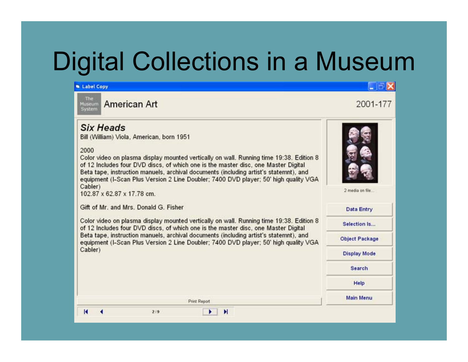# Digital Collections in a Museum

#### **W** Label Copy



**American Art** 

#### **Six Heads**

Bill (William) Viola, American, born 1951

#### 2000

Color video on plasma display mounted vertically on wall. Running time 19:38. Edition 8 of 12 Includes four DVD discs, of which one is the master disc, one Master Digital Beta tape, instruction manuels, archival documents (including artist's statemnt), and equipment (I-Scan Plus Version 2 Line Doubler: 7400 DVD player: 50' high quality VGA Cabler)

102 87 x 62 87 x 17 78 cm.

Gift of Mr. and Mrs. Donald G. Fisher

Color video on plasma display mounted vertically on wall. Running time 19:38. Edition 8 of 12 Includes four DVD discs, of which one is the master disc, one Master Digital Beta tape, instruction manuels, archival documents (including artist's statemnt), and equipment (I-Scan Plus Version 2 Line Doubler: 7400 DVD player: 50' high quality VGA Cabler)

Print Report

 $\blacktriangleright$   $\blacktriangleright$   $\blacktriangleright$ 



 $\Box$   $\times$ 

2001-177



| <b>Data Entry</b>     |
|-----------------------|
| Selection Is          |
| <b>Object Package</b> |
| <b>Display Mode</b>   |
| <b>Search</b>         |
| Help                  |
| <b>Main Menu</b>      |

К

 $2:9$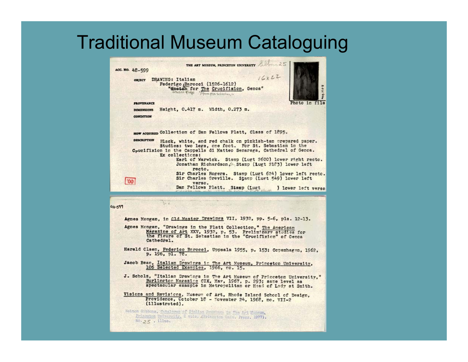## Traditional Museum Cataloguing



Princeton University, 2 vols. (Frinceton Univ. Press, 1977),  $n_0, 25$ , illus.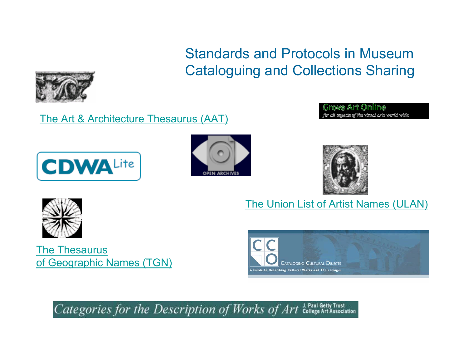### Standards and Protocols in Museum Cataloguing and Collections Sharing

[The Art & Architecture Thesaurus \(AAT\)](http://www.getty.edu/research/conducting_research/vocabularies/aat/)







rove Art Online for all aspects of the visual arts world wide

[The Thesaurus](http://www.getty.edu/research/conducting_research/vocabularies/tgn/)  [of Geographic Names \(TGN\)](http://www.getty.edu/research/conducting_research/vocabularies/tgn/)



[The Union List of Artist Names \(ULAN\)](http://www.getty.edu/research/conducting_research/vocabularies/ulan/)

Categories for the Description of Works of Art LPaul Getty Trust J. Paul Getty Trust

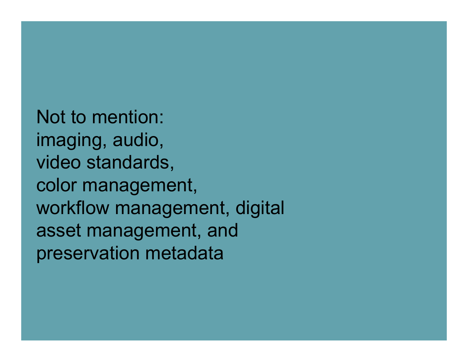Not to mention: imaging, audio, video standards, color management, workflow management, digital asset management, and preservation metadata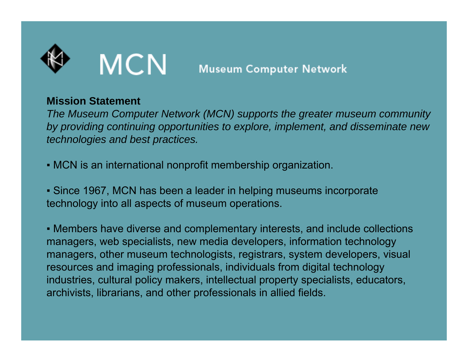

#### **Mission Statement**

*The Museum Computer Network (MCN) supports the greater museum community by providing continuing opportunities to explore, implement, and disseminate new technologies and best practices.*

▪ MCN is an international nonprofit membership organization.

**- Since 1967, MCN has been a leader in helping museums incorporate** technology into all aspects of museum operations.

▪ Members have diverse and complementary interests, and include collections managers, web specialists, new media developers, information technology managers, other museum technologists, registrars, system developers, visual resources and imaging professionals, individuals from digital technology industries, cultural policy makers, intellectual property specialists, educators, archivists, librarians, and other professionals in allied fields.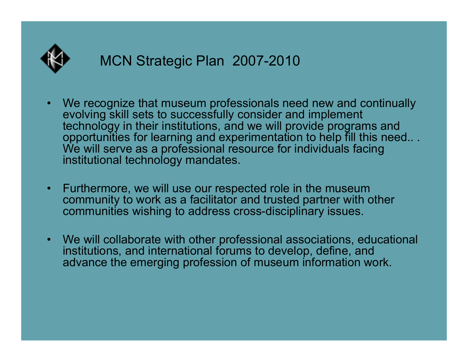

- • We recognize that museum professionals need new and continually evolving skill sets to successfully consider and implement technology in their institutions, and we will provide programs and opportunities for learning and experimentation to help fill this need.. . We will serve as a professional resource for individuals facing institutional technology mandates.
- $\bullet$  Furthermore, we will use our respected role in the museum community to work as a facilitator and trusted partner with other communities wishing to address cross-disciplinary issues.
- $\bullet$  We will collaborate with other professional associations, educational institutions, and international forums to develop, define, and advance the emerging profession of museum information work.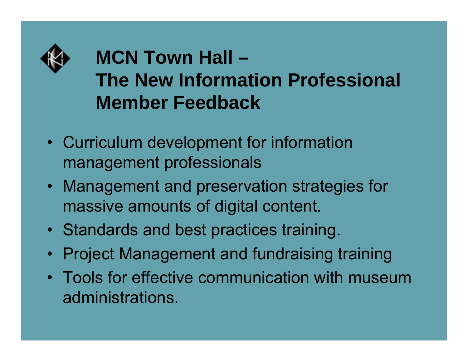

## **MCN Town Hall – The New Information Professional Member Feedback**

- Curriculum development for information management professionals
- Management and preservation strategies for massive amounts of digital content.
- Standards and best practices training.
- Project Management and fundraising training
- Tools for effective communication with museum administrations.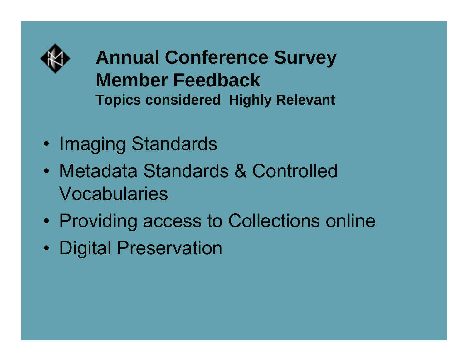

**Annual Conference Survey Member FeedbackTopics considered Highly Relevant** 

- •Imaging Standards
- Metadata Standards & Controlled Vocabularies
- •Providing access to Collections online
- Digital Preservation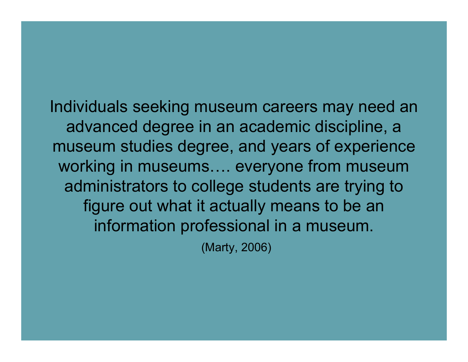Individuals seeking museum careers may need an advanced degree in an academic discipline, a museum studies degree, and years of experience working in museums…. everyone from museum administrators to college students are trying to figure out what it actually means to be an information professional in a museum.

(Marty, 2006)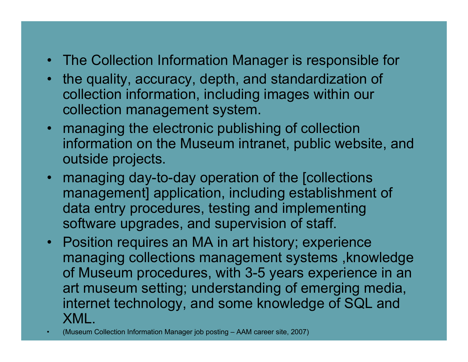- The Collection Information Manager is responsible for
- $\bullet$  the quality, accuracy, depth, and standardization of collection information, including images within our collection management system.
- managing the electronic publishing of collection information on the Museum intranet, public website, and outside projects.
- managing day-to-day operation of the [collections management] application, including establishment of data entry procedures, testing and implementing software upgrades, and supervision of staff.
- Position requires an MA in art history; experience managing collections management systems ,knowledge of Museum procedures, with 3-5 years experience in an art museum setting; understanding of emerging media, internet technology, and some knowledge of SQL and XML.
- (Museum Collection Information Manager job posting AAM career site, 20 07)

•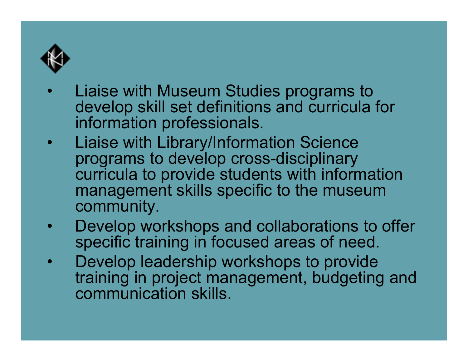

- • Liaise with Museum Studies programs to develop skill set definitions and curricula for information professionals.
- • Liaise with Library/Information Science programs to develop cross-disciplinary curricula to provide students with information management skills specific to the museum community.
- $\bullet$  Develop workshops and collaborations to offer specific training in focused areas of need.
- $\bullet$  Develop leadership workshops to provide training in project management, budgeting and communication skills.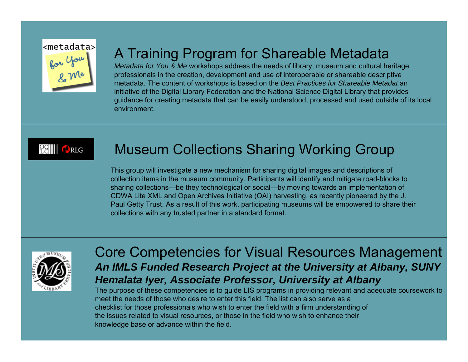

## A Training Program for Shareable Metadata

*Metadata for You & Me* workshops address the needs of library, museum and cultural heritage professionals in the creation, development and use of interoperable or shareable descriptive metadata. The content of workshops is based on the *Best Practices for Shareable Metadat* an initiative of the Digital Library Federation and the National Science Digital Library that provides guidance for creating metadata that can be easily understood, processed and used outside of its local environment.



### Museum Collections Sharing Working Group

This group will investigate a new mechanism for sharing digital images and descriptions of collection items in the museum community. Participants will identify and mitigate road-blocks to sharing collections—be they technological or social—by moving towards an implementation of CDWA Lite XML and Open Archives Initiative (OAI) harvesting, as recently pioneered by the J. Paul Getty Trust. As a result of this work, participating museums will be empowered to share their collections with any trusted partner in a standard format.



#### Core Competencies for Visual Resources Management *An IMLS Funded Research Project at the University at Albany, SUNY Hemalata Iyer, Associate Professor, University at Albany*

The purpose of these competencies is to guide LIS programs in providing relevant and adequate coursework to meet the needs of those who desire to enter this field. The list can also serve as achecklist for those professionals who wish to enter the field with a firm understanding of the issues related to visual resources, or those in the field who wish to enhance their knowledge base or advance within the field.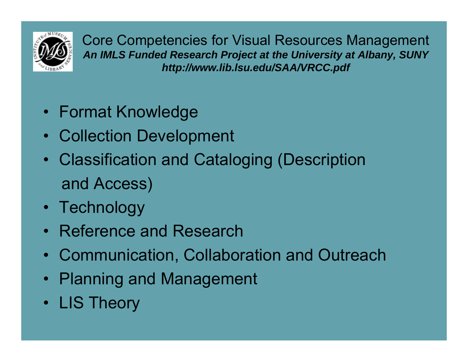

Core Competencies for Visual Resources Management *An IMLS Funded Research Project at the University at Albany, SUNY http://www.lib.lsu.edu/SAA/VRCC.pdf*

- Format Knowledge
- Collection Development
- Classification and Cataloging (Description and Access)
- Technology
- Reference and Research
- Communication, Collaboration and Outreach
- Planning and Management
- LIS Theory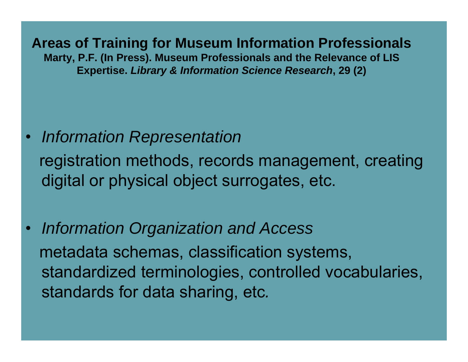**Areas of Training for Museum Information Professionals Marty, P.F. (In Press). Museum Professionals and the Relevance of LIS Expertise.** *Library & Information Science Research***, 29 (2)**

- *Information Representation*  registration methods, records management, creating digital or physical object surrogates, etc.
- *Information Organization and Access* metadata schemas, classification systems, standardized terminologies, controlled vocabularies, standards for data sharing, etc*.*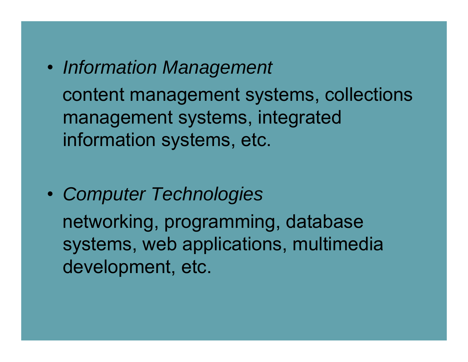$\bullet$  *Information Management* content management systems, collections management systems, integrated information systems, etc.

• *Computer Technologies* networking, programming, database systems, web applications, multimedia development, etc.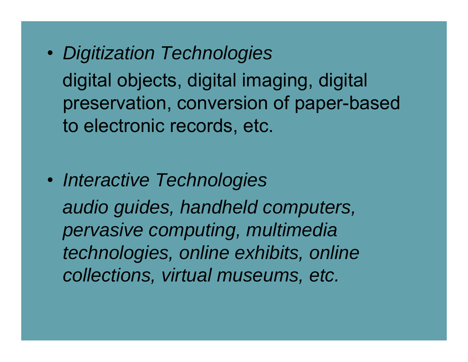• *Digitization Technologies*

digital objects, digital imaging, digital preservation, conversion of paper-based to electronic records, etc.

• *Interactive Technologies audio guides, handheld computers, pervasive computing, multimedia technologies, online exhibits, online collections, virtual museums, etc.*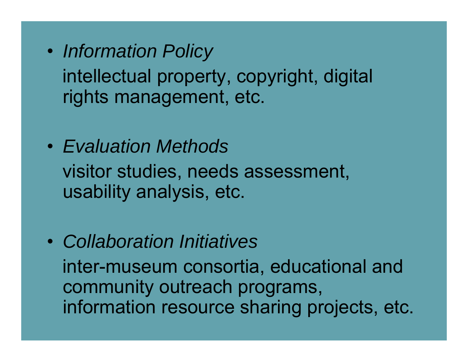- • *Information Policy* intellectual property, copyright, digital rights management, etc.
- *Evaluation Methods*visitor studies, needs assessment, usability analysis, etc.
- *Collaboration Initiatives* inter-museum consortia, educational and community outreach programs, information resource sharing projects, etc.